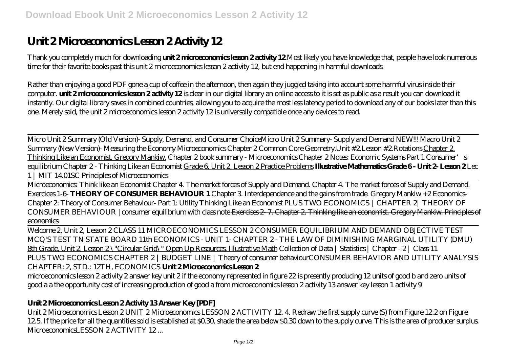# Unit 2 Microeconomics Lesson 2 Activity 12

Thank you completely much for downloading **unit 2 microeconomics lesson 2 activity 12**.Most likely you have knowledge that, people have look numerous time for their favorite books past this unit 2 microeconomics lesson 2 activity 12, but end happening in harmful downloads.

Rather than enjoying a good PDF gone a cup of coffee in the afternoon, then again they juggled taking into account some harmful virus inside their computer. **unit 2 microeconomics lesson 2 activity 12** is clear in our digital library an online access to it is set as public as a result you can download it instantly. Our digital library saves in combined countries, allowing you to acquire the most less latency period to download any of our books later than this one. Merely said, the unit 2 microeconomics lesson 2 activity 12 is universally compatible once any devices to read.

Micro Unit 2 Summary (Old Version)- Supply, Demand, and Consumer Choice*Micro Unit 2 Summary- Supply and Demand NEW!!!* Macro Unit 2 Summary (New Version)- Measuring the Economy Microeconomics Chapter 2 Common Core Geometry.Unit #2.Lesson #2.Rotations Chapter 2. Thinking Like an Economist. Gregory Mankiw. *Chapter 2 book summary - Microeconomics Chapter 2 Notes: Economic Systems Part 1 Consumer's equilibrium Chapter 2 - Thinking Like an Economist* Grade 6, Unit 2, Lesson 2 Practice Problems **Illustrative Mathematics Grade 6 - Unit 2- Lesson 2** *Lec 1 | MIT 14.01SC Principles of Microeconomics*

Microeconomics: Think like an Economist Chapter 4. The market forces of Supply and Demand. *Chapter 4. The market forces of Supply and Demand. Exercices 1-6-* **THEORY OF CONSUMER BEHAVIOUR 1** Chapter 3. Interdependence and the gains from trade. Gregory Mankiw *+2 Economics-Chapter 2: Theory of Consumer Behaviour- Part 1: Utility Thinking Like an Economist PLUS TWO ECONOMICS | CHAPTER 2| THEORY OF CONSUMER BEHAVIOUR |consumer equilibrium with class note* Exercises 2- 7. Chapter 2. Thinking like an economist. Gregory Mankiw. Principles of economics

Welcome 2, Unit 2, Lesson 2 CLASS 11 MICROECONOMICS LESSON 2 CONSUMER EQUILIBRIUM AND DEMAND OBJECTIVE TEST MCQ'S TEST *TN STATE BOARD 11th ECONOMICS - UNIT 1- CHAPTER 2 - THE LAW OF DIMINISHING MARGINAL UTILITY (DMU)* 8th Grade, Unit 2, Lesson 2 \"Circular Grid\" Open Up Resources, Illustrative Math Collection of Data | Statistics | Chapter - 2 | Class 11

PLUS TWO ECONOMICS CHAPTER 2 | BUDGET LINE | Theory of consumer behaviour*CONSUMER BEHAVIOR AND UTILITY ANALYSIS CHAPTER: 2, STD.: 12TH, ECONOMICS* **Unit 2 Microeconomics Lesson 2**

microeconomics lesson 2 activity 2 answer key unit 2 if the economy represented in figure 22 is presently producing 12 units of good b and zero units of good a a the opportunity cost of increasing production of good a from microeconomics lesson 2 activity 13 answer key lesson 1 activity 9

## **Unit 2 Microeconomics Lesson 2 Activity 13 Answer Key [PDF]**

Unit 2 Microeconomics Lesson 2 UNIT 2 Microeconomics LESSON 2 ACTIVITY 12. 4. Redraw the first supply curve (S) from Figure 12.2 on Figure 12.5. If the price for all the quantities sold is established at \$0.30, shade the area below \$0.30 down to the supply curve. This is the area of producer surplus. MicroeconomicsLESSON 2 ACTIVITY 12...